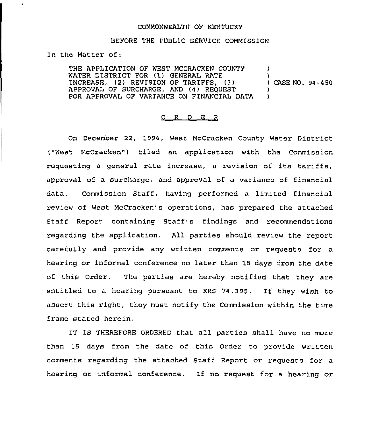## COMMONWEALTH OF KENTUCKY

## BEFORE THE PUBLIC SERVICE COMMISSION

In the Matter of:

THE APPLICATION OF WEST MCCRACKEN COUNTY WATER DISTRICT FOR (1) GENERAL RATE INCREASE, (2) REVISION OF TARIFFS, (3) APPROVAL OF SURCHARGE, AND (4) REQUEST FOR APPROVAL OF VARIANCE ON FINANCIAL DATA ) ) ) CASE NO. 94-450 ) )

## 0 <sup>R</sup> <sup>D</sup> E R

On December 22, 1994, West McCracken County Water District ("West McCracken" ) filed an application with the Commission requesting <sup>a</sup> general rate increase, <sup>a</sup> revision of its tariffs, approval of a surcharge, and approval of a variance of financial data, Commission Staff, having performed a limited financial review of West McCracken's operations, has prepared the attached Staff Report containing Staff's findings and recommendations regarding the application. All parties should review the report carefully and provide any written comments or requests for a hearing or informal conference no later than 15 days from the date of this Order. The parties are hereby notified that they are entitled to <sup>a</sup> hearing pursuant to KRS 74.395, If they wish to assert this right, they must notify the Commission within the time frame stated herein.

IT IS THEREFORE ORDERED that all parties shall have no more than 15 days from the date of this Order to provide written comments regarding the attached Staff Report or requests for a hearing or informal conference. If no request for <sup>a</sup> hearing or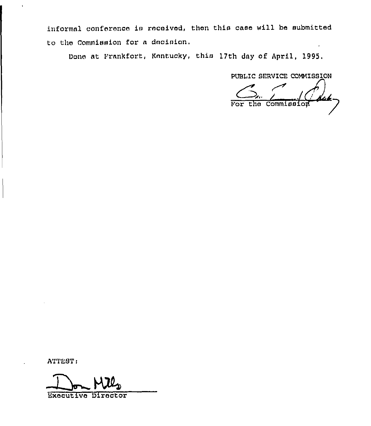informal conference is received, then this case will be submitted to the Commission for a decision.

Dona at Frankfort, Kentucky, this 17th day of April, 1995.

PUBLIC SERVICE COMMISSION

 $\sqrt{C}$ da For the Commission

ATTEST:

Executive Director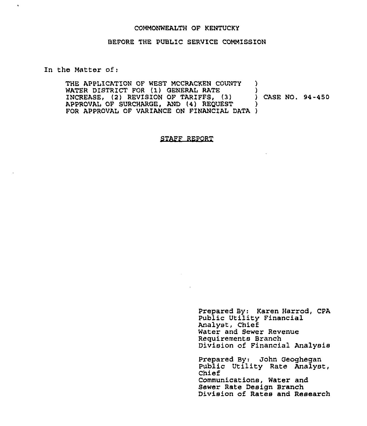## COMMONWEALTH OF KENTUCKY

## BEFORE THE PUBLIC SERVICE COMMISSION

In the Matter of:

 $\hat{\mathbf{r}}$ 

THE APPLICATION OF WEST MCCRACKEN COUNTY )<br>WATER DISTRICT FOR (1) GENERAL RATE WATER DISTRICT FOR (1) GENERAL RATE (3) (2) CASE NO. 94-450 INCREASE, (2) REVISION OF TARIFFS, (3) (2) )<br>APPROVAL OF SURCHARGE, AND (4) REQUEST APPROVAL OF SURCHARGE, AND (4) REQUEST FOR APPROVAL OF VARIANCE ON FINANCIAL DATA )

## STAFF REPORT

Prepared By: Karen Harrod, CPA Public Utility Financial Analyst, Chief Water and Sewer Revenue Requirements Branch Division of Financial Analysis

Prepared By: John Geoghegan Public Utility Rate Analyst, Chief Communications, Water and Sewer Rate Design Branch Division of Rates and Research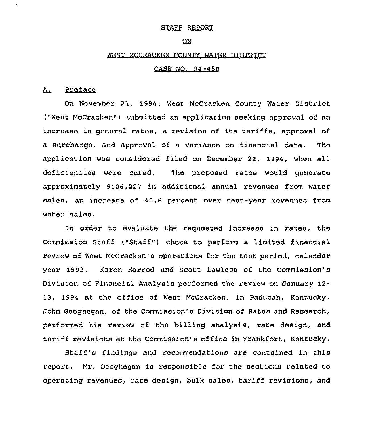## STAFF REPORT

## ON.

## WEST MCCRACKEN COUNTY WATER DISTRICT

## CASE NO. 94-450

#### Preface  $\mathbf{A}_{\perp}$

On November 21, 1994, West McCracken County Water District ("West McCracken") submitted an application seeking approval of an increase in general rates, <sup>a</sup> revision of its tariffs, approval of a surcharge, and approval of a variance on financial data. The application was considered filed on December 22, 1994, when all deficiencies were cured. The proposed rates would generate approximately \$106,227 in additional annual revenues from water sales, an increase of 40.6 percent over test-year revenues from water sales.

In oxder to evaluate the requested increase in rates, the Commission Staff ("Staff") chose to perform a limited financial review of West McCracken's operations for the test period, calendar year 1993. Karen Harrod and Scott Lawless of the Commission's Division of Financial Analysis performed the review on January 12-13, 1994 at the office of West McCracken, in Paducah, Kentucky. John Geoghegan, of the Commission's Division of Rates and Research, performed his review of the billing analysis, rate design, and tariff revisions at the Commission's office in Frankfort, Kentucky.

Staff's findings and recommendations are contained in this report. Mr. Geoghegan is responsible for the sections related to operating revenues, rate design, bulk sales, tariff revisions, and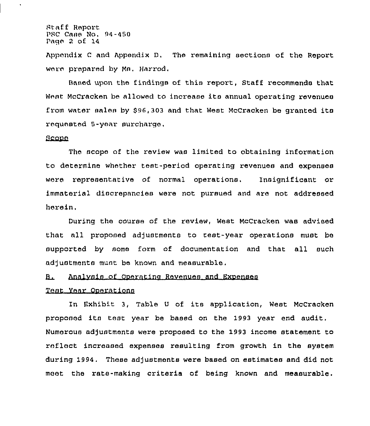Staff Report PSC Cane No, 94-450 Page 2 of 14

Appendix <sup>C</sup> nnd appendix D, The remaining sections of tha Report ware prepared by Ms. Harrod.

Baaed upon the findings of this report, Staff recommends that Want McCrackan be nllowed to increase its annual operating revenues from water sales by \$96,303 and that West McCracken be granted its requested 5-year surcharge,

## Bcooa

The scope of the review was limited to obtaining information to determine whether test-period operating revenues and expenses ware representative of normal operations. Insignificant or immaterial discrepancies were not pursued and are not addressed herein,

During the course of the review, West McCracken was advised that all proposed adjustments to test-year operations must be supported by some form of documentation and that all such adjustments must be known and measurable.

## B. Analysis of Operating Revenues and Expenses

## Yanr Ooerntions

In Exhibit 3, Table <sup>U</sup> of its application, West McCracken proposed its teat year be based on the 1993 year end audit. Numerous adjustments were proposed to the 1993 income statement to reflect increased expenses resulting from growth in the system during 1994. These adjustmants were based on estimates and did not mast tha rate-making criteria of being known and measurable.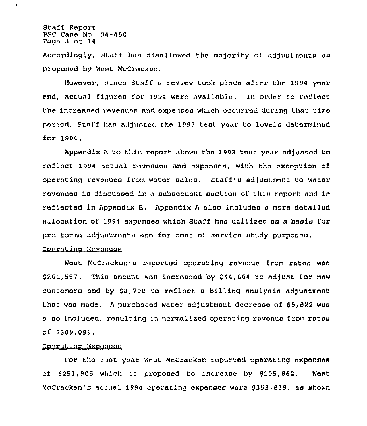Staff Report  $PSC$  Cane No.  $94-450$ Page 3 of 14

l.

Accordingly, Staff haa diaallowed the majority of adjuatmenta aa proposed by Wsat McCracken,

However, nines Staff'a review took place after the 1994 year end, actual figures for 1994 were available. In order to reflect the increased revenues and expenses which occurred during that time period, Staff haa adjusted the 1993 teat year to lovola determined for 1994.

Appendix  $A$  to thin report shows the 1993 test year adjusted to reflect 1994 actual revenues and expenses, with the exception of operating revenues from water sales. Staff's adjustment to water revenues is discussed in a subsequent section of this report and is reflected in Appendix 8, Appendix <sup>A</sup> alao includaa a mora detailed allocation of 1994 expenses which Staff haa utilized aa a baaia for pro forma adjustments and for cost of service study purposes.

## Ooeratina Revenues

West McCracken'a reported operating rcvonuc from ratoa waa  $$261,557$ . This amount was increased by  $$44,664$  to adjust for new cuatomers and by \$8,700 to reflect a billing analysis adjustment that was made. A purchased water adjustment docrease of \$5,822 was also included, resulting in normalized operating revenue from rates of \$309,099.

## Ooeratlna Exoenaea

For the teat year Wast McCracken reported operating axpenaaa of  $$251,905$  which it proposed to increase by  $$105,862$ . West McCracken's actual 1994 operating expenses were \$353,839, as shown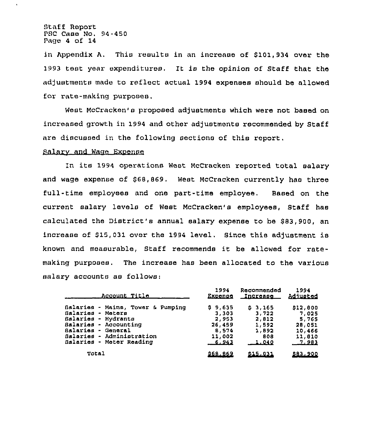Staff Report PSC Case No, 94-450 Page <sup>4</sup> of 14

in Appendix A. This results in an increase of \$101,934 over the 1993 test year expenditures. It is the opinion of Staff that the adjustments made to reflect actual 1994 expenses should be allowed for rate-making purposes.

West McCracken's proposed adjustments which were not based on increased growth in 1994 and other adjustments recommended by Staff are discussed in the following sections of this report.

## Salary and Wage Expense

In its 1994 operations West McCracken repoxted total salary and wage expense of \$68,869. West McCracken currently has three full-time employees and one part-time employee. Based on the current salary levels of West McCracken's employees, Staff has calculated the District's annual salary expense to be 883,900, an increase of  $$15,031$  over the 1994 level. Since this adjustment is known and measurable, Staff xecommends it be allowed for xatemaking purposes. The incxease has been allocated to the vaxious salary accounts as follows:

| <u>Account Title</u>              | 1994     | Recommended     | 1994           |
|-----------------------------------|----------|-----------------|----------------|
|                                   | Expense  | <b>Increase</b> | Adjusted       |
| Salaries - Mains, Tower & Pumping | \$9.635  | 53,165          | 512,800        |
| Salaries - Meters                 | 3,303    | 3,722           | 7,025          |
| Salaries - Hydrants               | 2,953    | 2,812           | 5,765          |
| Balaries - Accounting             | 26,459   | 1,592           | 28,051         |
| Salaries - General                | 8,574    | 1,892           | 10,466         |
| Balaries - Administration         | 11,002   | 808             | 11,810         |
| Balaries - Meter Reading          | $-6,943$ | 1.040           | 7,983          |
| Total                             | 868.869  | <u>815,031</u>  | <u>883,900</u> |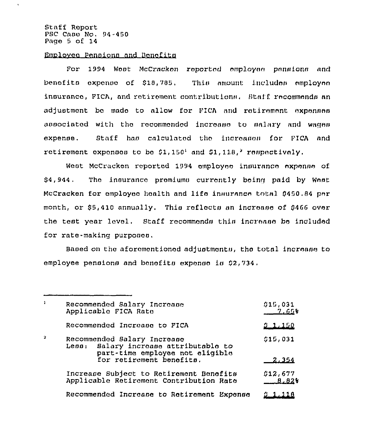Staff Report PSC Case No. 94-450 Page <sup>5</sup> of 14

 $\ddot{\phantom{0}}$ 

## Employee Pensions and Benefits

For 1994 Wost McCracken reported employee pensions and benefits exponse of \$18,785, This amount includes employee ineuranco, PICA, and retirement contribution», Staff recommends an adjustment be made to allow for FICA and retirement expenses associated with the recommended increase to salary and wages expense. Staff has calculated the increases for PICA and retirement oxponsos to bo  $$1,150^1$  and  $$1,118,*$  respectively.

West McCracken reported 1994 omployee insurance expense of \$4,944. The insurance promiums currently being paid by West McCracken for employee health and life insurance total 0450.84 per month, or \$5,410 annually. This reflects an increase of \$466 over the test year level. Staff recommends this increase be included for rate-making purposes.

Based on the aforementioned adjustments, the total increase to employee pensions and bonofits expense is 02,734.

| $\mathbf{1}$ | Recommended Salary Increase<br>Applicable FICA Rate                                                                     | 015,031<br><u>7.65</u> % |
|--------------|-------------------------------------------------------------------------------------------------------------------------|--------------------------|
|              | Recommended Increase to FICA                                                                                            | <u>9 1.150</u>           |
|              | Recommended Salary Increase<br>Salary increase attributable to<br>$_{\texttt{LEBI}}$<br>part-time employee not eligible | 015,031                  |
|              | for retirement benefits.                                                                                                | 2,354                    |
|              | Increase Subject to Retirement Benefits<br>Applicable Retirement Contribution Rate                                      | 012,677<br>$0.02*$       |
|              | Recommended Increase to Retirement Expense                                                                              |                          |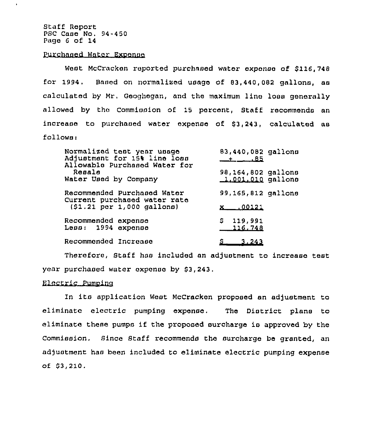Staff Report PSC Case No. 94-450 Page <sup>6</sup> of 14

 $\mathbf{r}$ 

## Purchased Water Expense

West McCracken reported purchased water expense of \$116,748 for 1994. Based on normalized usage of 83,440,082 gallons, as calculated by Mr, Geoghegan, and the maximum line loss generally allowed by the Commission of 15 percent, Staff recommends an increase to purchased water expense of \$3,243, calculated as  $f$ ollows:

| Normalized test year usage<br>Adjustment for 15% line loss<br>Allowable Purchased Water for | 83,440,082 gallons                        |
|---------------------------------------------------------------------------------------------|-------------------------------------------|
| Resale<br>Water Used by Company                                                             | 98,164,802 gallons<br>$1.001.010$ gallons |
| Recommended Purchased Water<br>Current purchased water rate                                 | 99,165,812 gallons                        |
| $(51.21 \text{ per } 1,000 \text{ gallon})$                                                 | <u>.00121</u>                             |
| Recommended expense                                                                         | \$119,991                                 |
| Less: 1994 expense                                                                          | 116.748                                   |
| Recommended Increase                                                                        | <u>_3_243</u>                             |

Therefore, Staff has included an adjustment to increase test year purchased water expense by \$3,243.

## Electric Pumping

In its application West McCracken proposed an ad/ustment to eliminate electric pumping expense. The District plans to eliminate these pumps if the proposed surcharge is approved by the Commission. Since Staff recommends the surcharge be granted, an adjustment has been included to eliminate electric pumping expense of 83,210.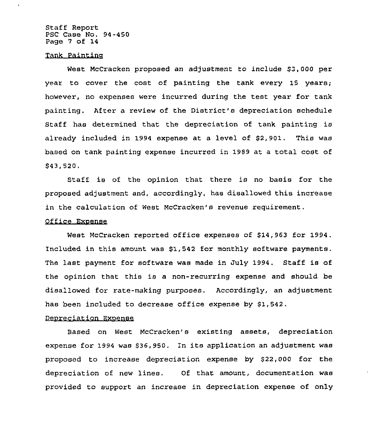Staff Report PSC Case No. 94-450 Page 7 of 14

## Tank Paintino

West McCracken proposed an adjustment to include \$3,000 per year to cover the cost of painting the tank every 15 years; however, no expenses were incurred during the test year for tank painting. After a review of the District's depreciation schedule staff has determined that the depreciation of tank painting is already included in 1994 expense at a level of \$2, 901. This was based on tank painting expense incurred in 1989 at a total cost of \$ 43,520,

Staff is of the opinion that there is no basis for the proposed adjustment and, accordingly, has disallowed this increase in the calculation of West McCracken's revenue requirement.

## Office Exoense

West McCracken reported office expenses of \$14,963 for 1994. Included in this amount was \$1,542 for monthly software payments. The last payment for software was made in July 1994. Staff is of the opinion that this is a non-recurring expense and should be disallowed for rate-making purposes. Accordingly, an adjustment has been included to decrease office expense by \$1,542.

## Deoreciation Exoense

Based on West McCracken's existing assets, depreciation expense for 1994 was \$36,950. In its application an adjustment was proposed to increase depreciation expense by \$22,000 for the depreciation of new lines. Of that amount, documentation was provided to support an increase in depreciation expense of only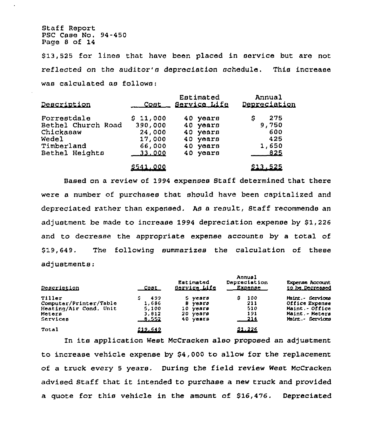Staff Report PSC Case No. 94-450 Page <sup>8</sup> of 14

\$13,525 for lines that have been placed in service but are not reflected on the auditor'n depreciation achedule. This increase was calculated as follows:

| Description        | <u>Cont _</u>   | Estimated<br><u>Service Life</u> | Annual<br>Depreciation |
|--------------------|-----------------|----------------------------------|------------------------|
| Forrestdale        | \$11,000        | 40 years                         | 275<br>5               |
| Bethel Church Road | 390,000         | 40 years                         | 9,750                  |
| Chickasaw          | 24,000          | 40 years                         | 600                    |
| Wedel              | 17,000          | 40 years                         | 425                    |
| Timberland         | 66,000          | 40 years                         | 1,650                  |
| Bethel Heights     | <u>33.000</u>   | 40 years                         | -825                   |
|                    | <u>5541.000</u> |                                  | \$13,525               |

Based on a review of 1994 expenses Staff determined that there were a number of purchases that should have been capitalized and depreciated rather than expensed. As a result, Staff recommends an adjustment be made to increase 1994 depreciation expense by  $$1,226$ and to decrease the appropriate expense accounts by a total of \$19,649, The following summarizes the calculation of these adjustments:

| Description            | Cont.    | Estimated<br><u> Sarvica Lifa</u> | Annual<br>Dapreciation<br>Expones | <b>Experise Account</b><br><u>to be Decreased</u> |
|------------------------|----------|-----------------------------------|-----------------------------------|---------------------------------------------------|
| Tiller                 | 499      | 5 years                           | 100<br>s                          | Maint. Services                                   |
| Computer/Printer/Table | 1.686    | 9 years                           | 211                               | Office Expense                                    |
| Heating/Air Cond. Unit | 5.100    | 10 years                          | 510                               | Maint - Office                                    |
| Meters                 | 3,812    | 20 years                          | 191                               | Maint, - Meters                                   |
| Services               | $-9.552$ | 40 years                          | $-214$                            | Maint. Bervices                                   |
| Total                  | 212.642  |                                   | 21.226                            |                                                   |

In its application West McCracken also proposed an adjustment to increase vehicle expense by \$4,000 to allow for the replacement of a truck every 5 years, During the field review West McCracken advised Staff that it intended to purchase <sup>a</sup> new truck and provided a quote for this vehicle in the amount of \$16,476. Depreciated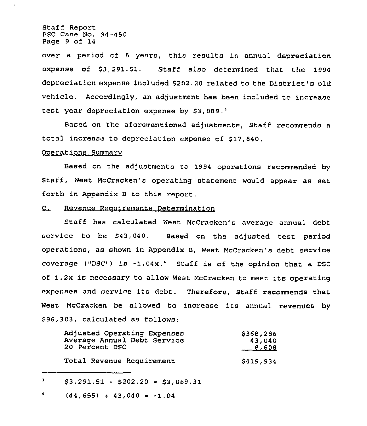Staff Report PSC Case No. 94-450 Page 9 of 14

over a period of <sup>5</sup> years, this results in annual depreciation expense of \$3,291.51. Staff also determined that the 1994 depreciation expense included \$202.20 related to the District's old vehicle. Accordingly, an adjustment has been included to increase test year depreciation expense by  $$3,089.$ <sup>3</sup>

Based on the aforementioned adjustments, Staff recommends a total increase to depreciation expense of \$17,840.

## Ooerations Summarv

Based on the adjustments to 1994 operations recommended by Staff, West McCracken's operating statement would appear as set forth in Appendix B to this report.

#### Revenue Reauirements Determination  $C_{\perp}$

Staff has calculated West McCracken's average annual debt service to be \$43,040. Based on the adjusted test period operations, as shown in Appendix B, West McCracken's debt service coverage ("DSC") is  $-1.04x.^4$  Staff is of the opinion that a DSC of 1.2x is necessary to allow West McCracken to meet its operating expenses and service its debt. Therefore, Staff recommends that Nest McCracken be allowed to increase its annual revenues by \$ 96,303, calculated as follows:

| Adjusted Operating Expenses | \$368,286 |
|-----------------------------|-----------|
| Average Annual Debt Service | 43,040    |
| 20 Percent DSC              | $-8,608$  |
| Total Revenue Requirement   | \$419,934 |

 $\mathbf{3}$  $$3,291.51 - $202.20 = $3,089.31$ 

 $\blacklozenge$  $(44, 655) + 43,040 = -1.04$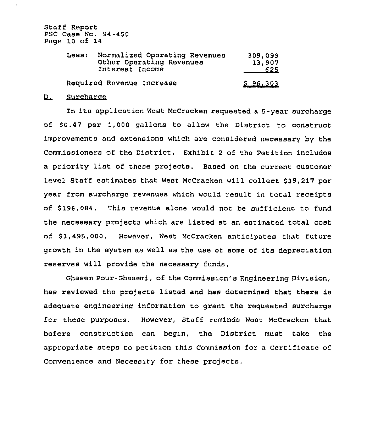Staff Report PSC Case No. 94-450 Page 10 of 14

| Normalized Operating Revenues<br>Less:<br>Other Operating Revenues<br>Interest Income |                           | 309.099<br>13.907<br>625 |  |
|---------------------------------------------------------------------------------------|---------------------------|--------------------------|--|
|                                                                                       | Required Revenue Increase | \$96.303                 |  |

#### $\mathbf{D}_{\mathbf{L}}$ Surcharae

In its application West McCracken requested <sup>a</sup> 5-year surcharge of \$0.47 per 1,000 gallons to allow the District to construct improvements and extensions which are considered necessary by the Commissioners of the District. Exhibit <sup>2</sup> of the Petition includes <sup>a</sup> priority list of these projects. Based on the current customer level Staff estimates that West McCracken will collect \$39,217 per year from surcharge revenues which would result in total receipts of \$196,084. This revenue alone would not be sufficient to fund the necessary projects which are listed at an estimated total cost of \$1,495,000. However, West McCracken anticipates that future growth in the system as well as the use of some of its depreciation reserves will provide the necessary funds.

Ghasem Pour-Ghasemi, of the Commission's Engineering Division, has reviewed the projects listed and has determined that there is adequate engineering information to grant the requested surcharge for these purposes. However, Staff reminds West McCracken that before construction can begin, the District must take the appropriate steps to petition this Commission for a Certificate of Convenience and Necessity for these projects.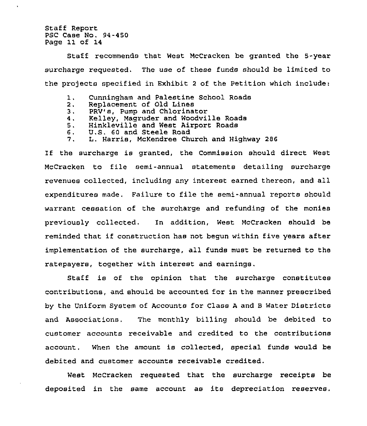Staff Report PSC Case No. 94-450 Page 11 of 14

Staff recommends that West McCracken be granted the 5-year surcharge requested. The use of these funds should be limited to the projects specified in Exhibit 2 of the Petition which include:

- 1. Cunningham and Palestine School Roads
- Replacement of Old Lines
- 2.<br>3.<br>4. PRY's, Pump and Chlorinator
- Kelley, Magruder and Woodville Roads
- Hinkleville and West Airport Roads
- 5.<br>6.<br>7. U,S. 60 and Steele Road
- L. Harris, McKendree Church and Highway 286

If the surcharge is granted, the Commission should direct West McCracken to file semi-annual statements detailing surcharge revenues collected, including any interest earned thereon, and all expenditures made, Failure to file the semi-annual reports should warrant cessation of the surcharge and refunding of the monies previously collected, In addition, West McCracken should be reminded that if construction has not begun within five years after implementation of the surcharge, all funds must be returned to the ratepayers, together with interest and earnings.

Staff is of the opinion that the surcharge constitutes contributions, and should be accounted for in the manner prescribed by the Uniform System of Accounts for Class <sup>A</sup> and <sup>B</sup> Water Districts and Associations. The monthly billing should be debited to customer accounts receivable and credited to the contributions account. 'When the amount is collected, special funds would be debited and customer accounts receivable credited.

West McCracken requested that the surcharge receipts be deposited in the same account as its depreciation reserves.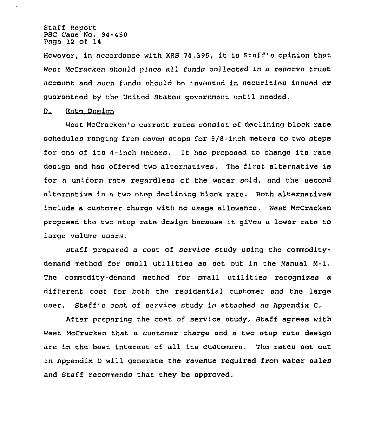Staff Roport PSC Caao No. 94-450 Pago 12 of 14

However, in accordanco with KRS 74.395, it ia Staff'o opinion that West McCracken should place all funds collected in a reserve trust account and such funds should be invested in securities issued or guaranteod by tho United States government until noeded,

#### $D_{\perp}$ Rate Doolcn

West McCracken'o current rates consist of declining block rate schedules ranging from coven stops fcr 5/8-inch motors to two steps for one of its 4-inch meters. It has proposed to change its rate design and has offered two alternatives. The first alternative is for a uniform rate regardless of the water sold, and the second alternative is a two step declining block rate. Both alternatives include a customer charge with no uaago allowance. West McCracken proposed the two atop rate design because it gives <sup>a</sup> lower rate to large volume users.

Staff prepared a cost of service study using the commoditydemand method for omall utilitiea as aot out in the Manual M-1. The commcdity-demand method for small utilitieo recognizes a different coat for both the residential customer and tho large user. Staff's cost of service study is attached as Appendix C.

After preparing the coat of service study, Staff agrees with West McCracken that a customer charge and a two step rate design are in the best interest of all ita customers, Tho rates set out in Appendix <sup>D</sup> will generate the revenue required from water oales and Staff recommends that they be approved.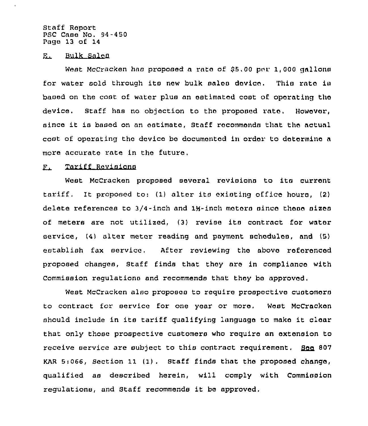Staff Report PSC Case No. 94-450 Page 13 of 14

E. Bulk Salen

West McCracken has proposed a rate of \$5,00 per 1,000 gallons for water sold through its new bulk sales device. This rate is based on the cost of water plus an estimated coat of operating the device, Staff has no objection to the proposed rate, However, since it is based on an estimate, Staff recommends that the actual cost of operating the device be documented in order to determine a more accurate rate in the future,

#### Tariff Revisions  $\Gamma$ .

West McCracken proposed several revisions to its current tariff. It proposed to: (1) alter its existing office hours, (2) delete references to 3/4-inch and 1½-inch meters since these sizes of meters are not utilized, (3) revise its contract for water service, (4) alter meter reading and payment schedules, and (5} establish fax service. After reviewing the above referenced proposed changes, staff finds that they are in compliance with Commission regulations and recommends that they be approved.

West McCracken also proposes to require prospective customers to contract for service for one year or more. West McCracken should include in its tariff qualifying language to make it clear that only those prospective customers who require an extension to receive service are subject to this contract requirement.  $\frac{100}{100}$  807 KAR 5:066, Section 11 (1). Staff finds that the proposed change, qualified as described herein, will comply with Commission regulations, and Staff recommends it be approved.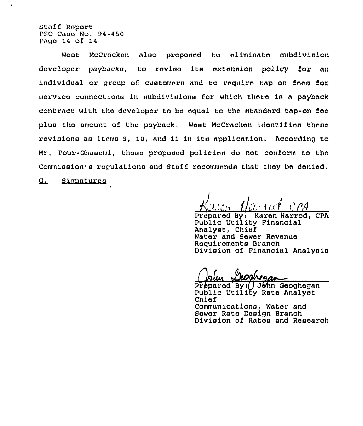Staff Report PSC Case No, 94-450 Page 14 of 14

West McCracken also proponed to eliminate aubdivision developer paybacks, to revise its extension policy for an individual or group of customers and to require tap on fees for service connections in subdivisions for which thoro ia a payback contract with the developer to be equal to the standard tap-on fee plus the amount of the payback, West McCracken idontifiea these revisions as Items 9, 10, and 11 in its application. According to Mr, Pour-Ghasemi, these proposed policios do not conform to the Commission's regulations and Staff recommends that they be denied.

g. Signaturen

Kayon Namal or

Prepared Byi Karen Marred, CPA Public Utility Financial Analyst, Chief Water and Sewer Revenue Requirements Branch Division of Financial Analysis

Preparod Byi( John Geoghegan Public UtlllEy Rate Analyst Chiof Communications, Water and Sewer Rate Design Branch Division of Rates and Research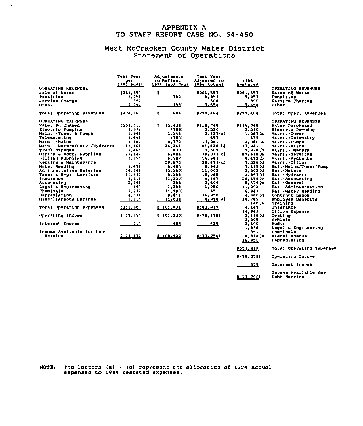## APPENDIX A TO STAFF REPORT CASE NO. 94-450

 $\ddot{\phantom{a}}$ 

# West McCracken County Water Distric Statement of Operation

| OPERATING REVENUES           | Tomt Year<br>per:<br>199) VANATT | Adjustments<br>to Reflect<br><u>1994 Inc/(Dec)</u> | <b>Test Year</b><br>Adjusted to<br><u> 1994 Actual</u> | 1994<br>Restated | OPERATING REVENUES       |
|------------------------------|----------------------------------|----------------------------------------------------|--------------------------------------------------------|------------------|--------------------------|
| Hale of Water                | 8261.557                         | ٥                                                  | 8261.557                                               | 8361.557         | Sales of Water           |
| Penalties                    | 5. 25 L                          | 703                                                | 5.943                                                  | <b>B. 953</b>    | Penalties                |
| Bervice Charge               | 300.                             |                                                    | 300                                                    | 900              | Bervice Charges          |
| Other                        | 1.121                            | <u>(98)</u>                                        | 7.624                                                  | 7.611            | Other                    |
| Total Operating Revenues     | <b>\$274.860</b>                 | 604<br>\$                                          | 8275.454                                               | 8275,464         | Total Oper. Revenues     |
| OPERATING EXPENSES           |                                  |                                                    |                                                        |                  | OPERATING EXPENSES       |
| Water Purchased              | 0103,310                         | 8<br>13,438                                        | 0116.748                                               | 0116.740         | Water Purchased          |
| Rlectric Pumping             | 3,999                            | (789)                                              | 3.210                                                  | 3.210            | Electric Pumping         |
| Maint. Tower & Pumps         | 1,981                            | 1,146                                              | 3.137(a)                                               | 1,007(a)         | Maint. Tower             |
| Telemetering                 | 1.444                            | (783)                                              | 639                                                    | 659              | Maint. Telemetry         |
| Maint.-Mains                 | 8.169                            | 9.772                                              | 17.241                                                 | 2,040(a)         | Maint. Pumpa             |
| Maint.-Matern/Berv./Rydrantm | 15.164                           | 26.264                                             | 41.428(b)                                              | 17,941           | Maint.-Maina             |
| Truck Rxpense                | 2,466                            | 839                                                | 1,305                                                  | 3.290(b)         | Maint. Meters            |
| Office & Acot, Supplies      | 29.149                           | 5.004                                              | 35.033(c)                                              | 29.638 (b)       | Maint. Services          |
| Billing Supplies             | 8.856                            | 6,107                                              | 14.963                                                 | 6.492(b)         | Maint. . Hydrants        |
| Repairs & Maintenance        | o                                | 29,673                                             | 29.673(d)                                              | 7.226 (d)        | Maint. Office            |
| Mater Reading                | 1.450                            | 5,483                                              | 6.943                                                  | 9.635(d)         | Sal.-Mainm/Tower/Pump.   |
| Administrative Salaries      | 14,161                           | (3,159)                                            | 11,002                                                 | 3.303(1)         | Sal. Maters              |
| Taxos & Empl. Benefits       | 10,592                           | 8.191                                              | 18,785                                                 | 2.953(d)         | Sal.-Hydrants            |
| Insurance                    | 5.514                            | (1, 327)                                           | 4.187                                                  | 28.459(c)        | Sal. Accounting          |
| Account ing                  | 2.345                            | 255                                                | 2.600                                                  | 1.574(c)         | Sal Ceneral              |
| Legal & Engineering          | 663                              | 1,291                                              | 1,956                                                  | 11,002           | Sal. Administration      |
| Chemicals                    | a. a 19                          | (1, 938)                                           | 351                                                    | 6,943            | Bal.-Mater Reading       |
| <b>Depreciation</b>          | 34, 119                          | 2,611                                              | 16,950                                                 | 4.160(d)         | Contract Labor           |
| Miscullaneous Expense        | 5.016                            | (1.011)                                            | 4.978(0)                                               | 18,785           | Employee Banefita        |
|                              |                                  |                                                    |                                                        | 140(6)           | Training                 |
| Total Operating Expenses     | 2251.905                         | 8 101.914                                          | 0151.019                                               | 4.187            | Insurance                |
|                              |                                  |                                                    |                                                        | 14.963           | Office Expense           |
| Operating Income             | 0.22, 955                        | 0(101, 330)                                        | 0(78, 375)                                             | 2,196 (d)        | Teating                  |
|                              |                                  |                                                    |                                                        | 3,305            | Vehicle                  |
| Interest Income              | 217                              | <u>408</u>                                         | 625                                                    | 2,600            | Audit                    |
|                              |                                  |                                                    |                                                        | 1,956            | Legal & Engineering      |
| Income Available for Debt    |                                  |                                                    |                                                        | 351              | Chemicals                |
| Bervice                      | 2 22 172                         | 21100.022)                                         | (177.750)                                              | $4, 8, 8$ (o)    | Miscellaneous            |
|                              |                                  |                                                    |                                                        | 16.950           | Depreciation             |
|                              |                                  |                                                    |                                                        | 1153.812         | Total Operating Expenses |
|                              |                                  |                                                    |                                                        | 0(70, 375)       | Operating Income         |

 $-$ 622<br>0.177.750)

Interest Income

Income Available Cor Debt Service

MOTE: The letters (a) - (e) represent the allocation of 1994 actual expenses to 1994 restated expenses.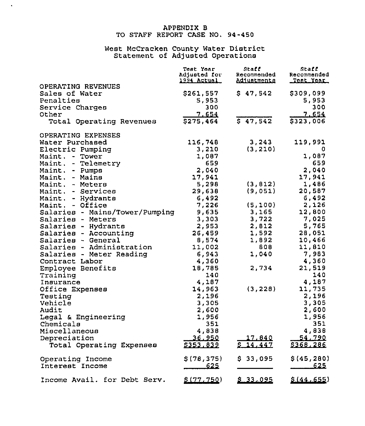## APPENDIX B TO STAFF REPORT CASE NO. 94-450

 $\mathcal{A}^{\pm}$ 

# West McCracken County Water Distric Statement of Adjusted Operation

|                                | Test Year<br><b>Adjusted for</b><br><u> 1994 Actual </u> | Staff<br>Recommended<br>Adiustments | Staff<br>Recommended<br><u>Teat Year</u> |
|--------------------------------|----------------------------------------------------------|-------------------------------------|------------------------------------------|
| OPERATING REVENUES             |                                                          |                                     |                                          |
| Sales of Water                 | \$261,557                                                | \$47,542                            | \$309,099                                |
| Penalties                      | 5,953                                                    |                                     | 5,953                                    |
| Service Charges                | 300.                                                     |                                     | 300                                      |
| Other                          | 7.654                                                    |                                     | 7.654                                    |
| Total Operating Revenues       | \$275,464                                                | $5\overline{47,542}$                | \$323,006                                |
| OPERATING EXPENSES             |                                                          |                                     |                                          |
| Water Purchased                | 116,748                                                  | 3,243                               | 119,991                                  |
| Electric Pumping               | 3,210                                                    | (3, 210)                            | 0                                        |
| Maint. - Tower                 | 1,087                                                    |                                     | 1,087                                    |
| Maint. - Telemetry             | 659                                                      |                                     | 659                                      |
| Maint. - Pumps                 | 2,040                                                    |                                     | 2,040                                    |
| Maint. - Mains                 | 17,941                                                   |                                     | 17,941                                   |
| Maint. - Meters                | 5,298                                                    | (3, 812)                            | 1,486                                    |
| Maint. - Services              | 29,638                                                   | (9,051)                             | 20,587                                   |
| Maint. - Hydrants              | 6,492                                                    |                                     | 6,492                                    |
| Maint. - Office                | 7,226                                                    | (5,100)                             | 2,126                                    |
| Salaries - Mains/Tower/Pumping | 9,635                                                    | 3,165                               | 12,800                                   |
| Salaries - Meters              | 3,303                                                    | 3,722                               | 7,025                                    |
| Salaries - Hydrants            | 2,953                                                    | 2,812                               | 5,765                                    |
| Salaries - Accounting          | 26,459                                                   | 1,592                               | 28,051                                   |
| Salaries - General             | 8,574                                                    | 1,892                               | 10,466                                   |
| Salaries - Administration      | 11,002                                                   | 808                                 | 11,810                                   |
| Salaries - Meter Reading       | 6,943                                                    | 1,040                               | 7,983                                    |
| Contract Labor                 | 4,360                                                    |                                     | 4,360                                    |
| Employee Benefits              | 18,785                                                   | 2,734                               | 21,519                                   |
| Training                       | 140                                                      |                                     | 140                                      |
| Insurance                      | 4,187                                                    |                                     | 4,187                                    |
| Office Expenses                | 14,963                                                   | (3, 228)                            | 11,735                                   |
| Testing                        | 2,196                                                    |                                     | 2,196                                    |
| Vehicle                        | 3,305                                                    |                                     | 3,305                                    |
| Audit                          | 2,600                                                    |                                     | 2,600                                    |
| Legal & Engineering            | 1,956                                                    |                                     | 1,956                                    |
| Chemicals                      | 351                                                      |                                     | 351                                      |
| Miscellaneous                  | 4,838                                                    |                                     | 4,838                                    |
| Depreciation                   | <u>36.950</u>                                            | 17,840                              | <u>54,790</u>                            |
| Total Operating Expenses       | \$353,839                                                | 14,447                              | \$368,286                                |
| Operating Income               | \$(78, 375)                                              | \$33,095                            | \$(45, 280)                              |
| Interest Income                | <u>625</u>                                               |                                     | <u>625</u>                               |
| Income Avail. for Debt Serv.   | 5(77.750)                                                | \$33,095                            | \$(44, 655)                              |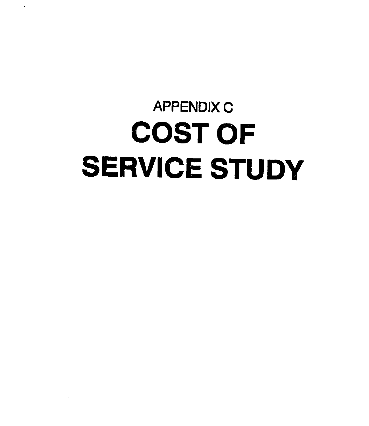# **APPENDIX C** COST OF SERVICE STUDY

 $\bar{\mathbf{A}}$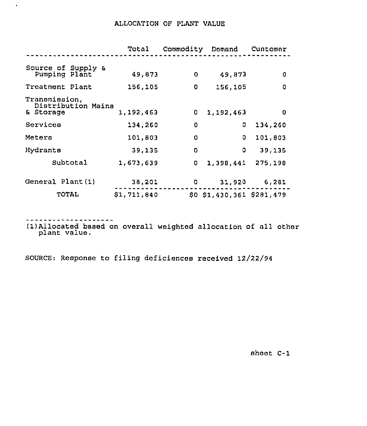# ALLOCAT10N OF PLANT VALUE

|                                                  | Total       | Commodity | Domand                       | Cuntomer |
|--------------------------------------------------|-------------|-----------|------------------------------|----------|
| Source of Supply &<br>Pumping Plant              | 49,873      | $\Omega$  | 49,873                       | $\Omega$ |
| Treatment Plant                                  | 156,105     | 0         | 156,105                      | 0        |
| Transmission,<br>Distribution Mains<br>& Storage | 1,192,463   | 0         | 1,192,463                    | 0        |
| Services                                         | 134,260     | O         | o                            | 134,260  |
| Meters                                           | 101,803     | O         | 0                            | 101,803  |
| Hydrants                                         | 39,135      | O         | $\Omega$                     | 39,135   |
| Subtotal                                         | 1,673,639   | 0         | 1,398,441                    | 275,198  |
| General Plant (1)                                | 38,201      | o         | 31,920                       | 6,281    |
| <b>TOTAL</b>                                     | \$1,711,840 |           | $$0$ $$1,430,361$ $$281,479$ |          |

 $\hat{\mathbf{v}}$ 

(1)Allocated based on overall weighted allocation of all other plant value.

SOURCE: Response to filing deficiences received 12/22/94

sheot C-1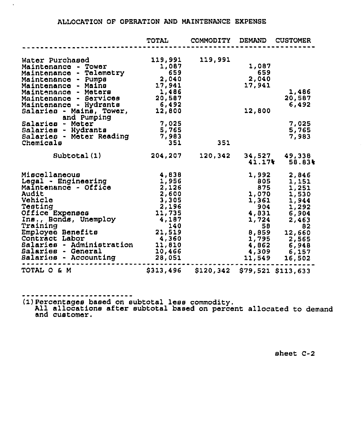# ALLOCATION OF OPERATION AND MAINTENAHCE EXPENSE

|                                                                                                                                                                                                                                                                                                                                                  | <b>TOTAL</b>                                                                                                                      | <b>COMMODITY</b> | <b>DEMAND</b>                                                                                                                | <b>CUSTOMER</b>                                                                                                                     |
|--------------------------------------------------------------------------------------------------------------------------------------------------------------------------------------------------------------------------------------------------------------------------------------------------------------------------------------------------|-----------------------------------------------------------------------------------------------------------------------------------|------------------|------------------------------------------------------------------------------------------------------------------------------|-------------------------------------------------------------------------------------------------------------------------------------|
| Water Purchased<br>Maintenance - Tower<br>Maintenance - Telemetry<br>Maintenance - Pumps<br>Maintenance - Mains<br>Maintenance - Meters<br>Maintenance<br>- Services<br>Hydrants<br>Maintenance<br>$\blacksquare$<br>Salarics - Mains, Tower,<br>and Pumping<br>Salarics - Meter<br>Salarics - Hydrants<br>Salaries - Meter Reading<br>Chemicals | 119,991<br>1,087<br>659<br>2,040<br>17,941<br>1,486<br>20,587<br>6,492<br>12,800<br>7,025<br>5,765<br>7,983<br>351                | 119,991<br>351   | 1,087<br>659<br>2,040<br>17,941<br>12,800                                                                                    | 1,486<br>20,587<br>6,492<br>7,025<br>5,765<br>7,983                                                                                 |
| Subtotal(1)                                                                                                                                                                                                                                                                                                                                      | 204,207                                                                                                                           | 120,342          | 34,527                                                                                                                       | 49,338                                                                                                                              |
| Miscellaneous<br>Legal - Engineering<br>Maintenance - Office<br>Audit<br>Vehicle<br>Testing<br>Office Expenses<br>Ins., Bonds, Unemploy<br>Training<br>Employee Benefits<br>Contract Labor<br>Salaries - Administration<br>Salaries - General<br>Salaries - Accounting                                                                           | 4,638<br>1,956<br>2,126<br>$2,600$<br>$3,305$<br>2,196<br>11,735<br>4,187<br>140<br>21,519<br>4,360<br>11,810<br>10,466<br>28,051 |                  | 41.17%<br>1,992<br>805<br>875<br>1,070<br>1,361<br>904<br>4,831<br>1,724<br>58<br>8,859<br>1,795<br>4,862<br>4,309<br>11,549 | 58.83%<br>2,846<br>1,151<br>1,251<br>1,530<br>1,944<br>1,292<br>6,904<br>2,463<br>82<br>12,660<br>2,565<br>6,948<br>6,157<br>16,502 |
| TOTAL O & M                                                                                                                                                                                                                                                                                                                                      | \$313,496                                                                                                                         | \$120,342        |                                                                                                                              | \$79,521 \$113,633                                                                                                                  |

 $\mathbf{r}$ 

(1)Percentages based on subtotal less commodity. All allocations after subtotal based on percent allocated to demand and customer.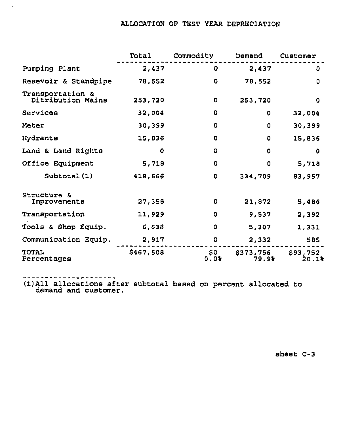# ALLOCATION OF TEST YEAR DEPRECIATION

|                                       | Total       | Commodity   | Demand             | Customer          |
|---------------------------------------|-------------|-------------|--------------------|-------------------|
| Pumping Plant                         | 2,437       | O           | 2,437              | O                 |
| Resevoir & Standpipe                  | 78,552      | 0           | 78,552             | 0                 |
| Transportation &<br>Ditribution Mains | 253,720     | 0           | 253,720            | O                 |
| Services                              | 32,004      | O           | 0                  | 32,004            |
| Meter                                 | 30,399      | o           | 0                  | 30,399            |
| Hydrants                              | 15,836      | 0           | O                  | 15,836            |
| Land & Land Rights                    | $\mathbf o$ | 0           | 0                  | O                 |
| Office Equipment                      | 5,718       | 0           | 0                  | 5,718             |
| Subtotal(1)                           | 418,666     | O           | 334,709            | 83,957            |
| Structure &<br>Improvements           | 27,358      | 0           | 21,872             | 5,486             |
| Transportation                        | 11,929      | 0           | 9,537              | 2,392             |
| Tools & Shop Equip.                   | 6,638       | 0           | 5,307              | 1,331             |
| Communication Equip.                  | 2,917       | O           | 2,332              | 585               |
| TOTAL<br>Percentages                  | \$467,508   | \$0<br>0.0% | \$373,756<br>79.9% | \$93,752<br>20.1% |

 $\hat{\mathcal{A}}$ 

(1)All allocations after subtotal based on percent allocated to demand and customer.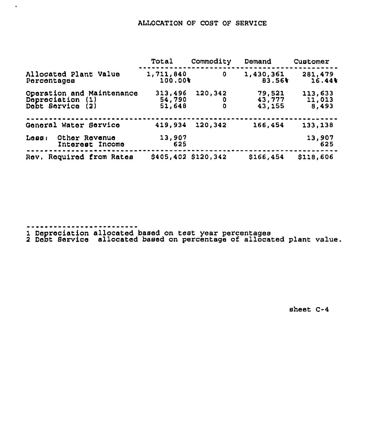# ALLOCATION OF COST OF SERVICE

|                                                               | Total                       | Commodity    | Demand                     | Customer                   |
|---------------------------------------------------------------|-----------------------------|--------------|----------------------------|----------------------------|
| Allocated Plant Value<br>Percentages                          | 1,711,840<br>100.00%        | 0            | 1,430,361<br>83.56%        | 281,479<br>16.44           |
| Operation and Maintenance<br>Depreciation (1)<br>Dobt Service | 313,496<br>54,790<br>51,648 | 120,342<br>٥ | 79,521<br>43,777<br>43,155 | 113,633<br>11,013<br>8,493 |
| General Water Service                                         | 419,934                     | 120,342      | 166,454                    | 133,138                    |
| Loss<br>Other Revenue<br>Interest Income                      | 13,907<br>625               |              |                            | 13,907<br>625              |
| Rov. Roquired from Rates                                      | \$405,402 \$120,342         |              | \$166,454                  | \$118,606                  |

 $\mathcal{A}$ 

1 Depreciation allocated based on test year percentage

2 Debt Service allocated based on percentage of allocated plant value.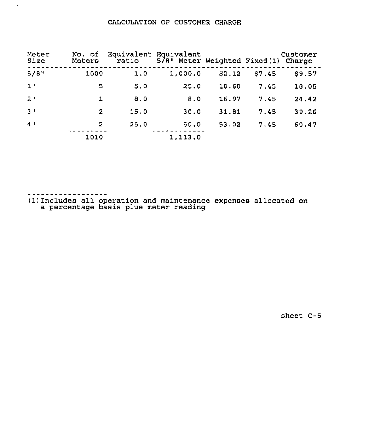# CALCULATION OF CUSTOMER CHARGE

| Meter<br>Size  | No. of<br>Meters | ratio | Equivalent Equivalent<br>5/8" Meter Weighted Fixed(1) Charge |        |        | Customer |
|----------------|------------------|-------|--------------------------------------------------------------|--------|--------|----------|
| 5/8            | 1000             | 1.0   | 1,000.0                                                      | \$2.12 | \$7.45 | \$9.57   |
| 1 <sup>0</sup> | 5                | 5.0   | 25.0                                                         | 10.60  | 7.45   | 18.05    |
| 2 <sup>0</sup> | 1                | 8.0   | 8.0                                                          | 16.97  | 7.45   | 24.42    |
| 3 <sup>0</sup> | $\overline{2}$   | 15.0  | 30.0                                                         | 31.81  | 7.45   | 39.26    |
| 4"             | 2                | 25.0  | 50.0                                                         | 53.02  | 7.45   | 60.47    |
|                | 1010             |       | 1,113.0                                                      |        |        |          |

 $\sim$ 

 $\bullet$ 

(1) Includes all operation and maintenance expenses allocated on a percentage basis plus meter reading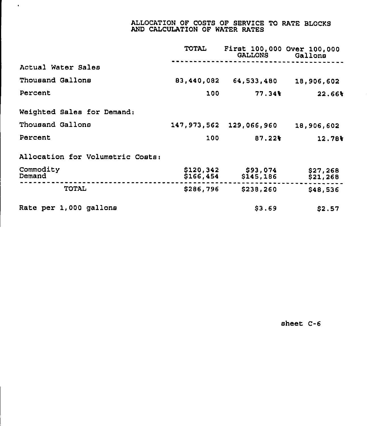## ALLOCATION OF COSTS OF SERVICE TO RATE BLOCKS AND CALCULATION OF WATER RATES

|                                  | <b>TOTAL</b>           | First 100,000 Over 100,000<br><b>GALLONS</b> | Gallons              |
|----------------------------------|------------------------|----------------------------------------------|----------------------|
| Actual Water Sales               |                        |                                              |                      |
| Thousand Gallons                 | 83,440,082             | 64,533,480                                   | 18,906,602           |
| Percent                          | 100                    | 77.341                                       | 22.66%               |
| Weighted Sales for Demand:       |                        |                                              |                      |
| Thousand Gallons                 | 147,973,562            | 129,066,960                                  | 18,906,602           |
| Percent                          | 100                    | 87.22                                        | 12.78%               |
| Allocation for Volumetric Costs: |                        |                                              |                      |
| Commodity<br>Demand              | \$120,342<br>\$166,454 | \$93,074<br>\$145,186                        | \$27,268<br>\$21,268 |
| <b>TOTAL</b>                     | \$286,796              | \$238,260                                    | \$48,536             |
| Rate per 1,000 gallons           |                        | \$3.69                                       | \$2.57               |

 $\mathbf{u}^{\prime}$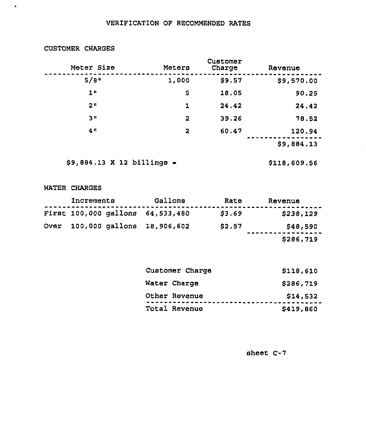# VERIFICATION OF RECOMMENDED RATES

| Meter Size     | Meters       | Customer<br>Charge | Revenue              |
|----------------|--------------|--------------------|----------------------|
| $5/8$ "        | 1,000        | \$9.57             | \$9,570.00           |
| 1 <sub>u</sub> | 5            | 18.05              | 90.25                |
| 211            | ı            | 24.42              | 24.42                |
| ת פ            | $\mathbf{2}$ | 39.26              | 78.52                |
| 41             | 2            | 60.47              | 120,94<br>\$9,884.13 |
|                |              |                    |                      |

CUSTOMER CHARGES

 $\bullet$ 

 $$9,884.13$  X 12 billings  $\blacksquare$  \$118,609.56

## WATER CHARGES

| Increments |  | Gallons                          | Rate   | Revenue   |
|------------|--|----------------------------------|--------|-----------|
|            |  | First 100,000 gallons 64,533,480 | \$3.69 | \$238,129 |
|            |  | Over 100,000 gallons 18,906,602  | \$2.57 | \$48,590  |
|            |  |                                  |        | \$286,719 |

| Customer Charge | \$118,610 |
|-----------------|-----------|
| Water Charge    | \$286,719 |
| Other Revenue   | \$14,532  |
| Total Revenue   | \$419,860 |